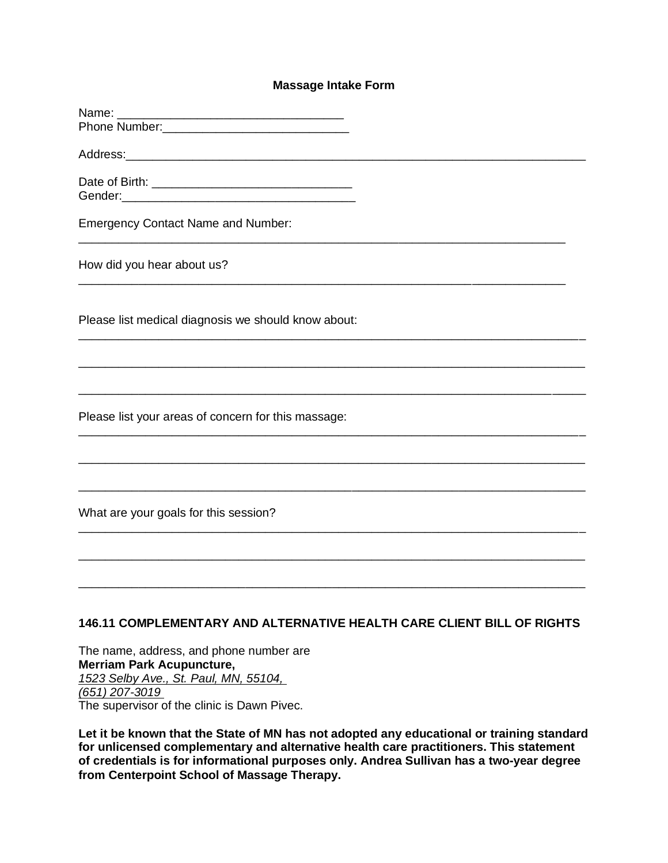## **Massage Intake Form**

| Name:                                                                  |
|------------------------------------------------------------------------|
|                                                                        |
|                                                                        |
|                                                                        |
| Gender:                                                                |
| <b>Emergency Contact Name and Number:</b>                              |
| How did you hear about us?                                             |
| Please list medical diagnosis we should know about:                    |
|                                                                        |
| Please list your areas of concern for this massage:                    |
|                                                                        |
| What are your goals for this session?                                  |
|                                                                        |
|                                                                        |
| 146.11 COMPLEMENTARY AND ALTERNATIVE HEALTH CARE CLIENT BILL OF RIGHTS |

The name, address, and phone number are **Merriam Park Acupuncture,** *1523 Selby Ave., St. Paul, MN, 55104, (651) 207-3019* The supervisor of the clinic is Dawn Pivec.

**Let it be known that the State of MN has not adopted any educational or training standard for unlicensed complementary and alternative health care practitioners. This statement of credentials is for informational purposes only. Andrea Sullivan has a two-year degree from Centerpoint School of Massage Therapy.**